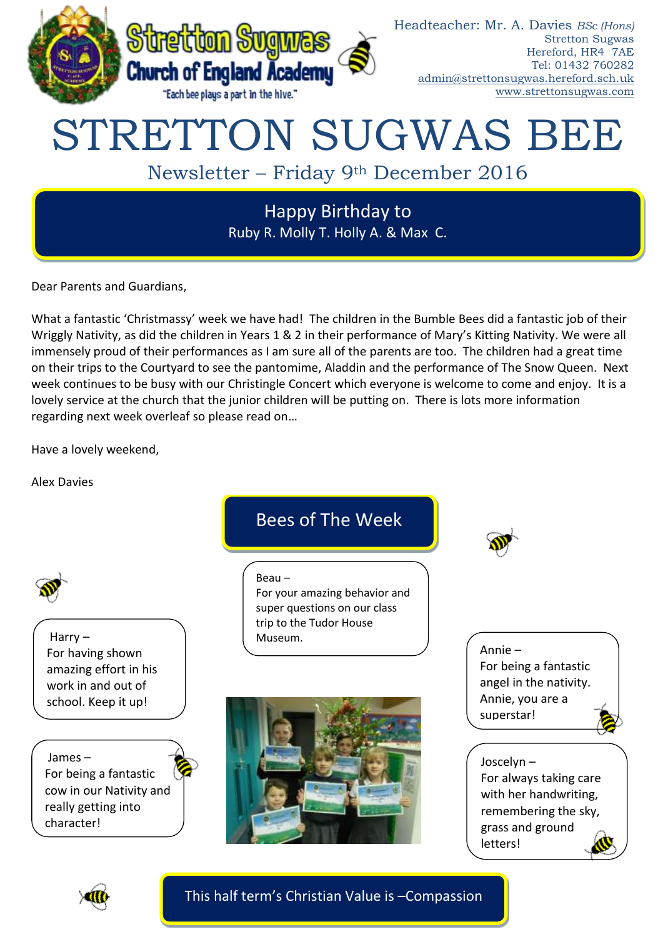

# STRETTON SUGWAS BEE

# Newsletter – Friday 9th December 2016

Happy Birthday to Ruby R. Molly T. Holly A. & Max C.

Dear Parents and Guardians,

What a fantastic 'Christmassy' week we have had! The children in the Bumble Bees did a fantastic job of their Wriggly Nativity, as did the children in Years 1 & 2 in their performance of Mary's Kitting Nativity. We were all immensely proud of their performances as I am sure all of the parents are too. The children had a great time on their trips to the Courtyard to see the pantomime, Aladdin and the performance of The Snow Queen. Next week continues to be busy with our Christingle Concert which everyone is welcome to come and enjoy. It is a lovely service at the church that the junior children will be putting on. There is lots more information regarding next week overleaf so please read on…

Have a lovely weekend,

Alex Davies